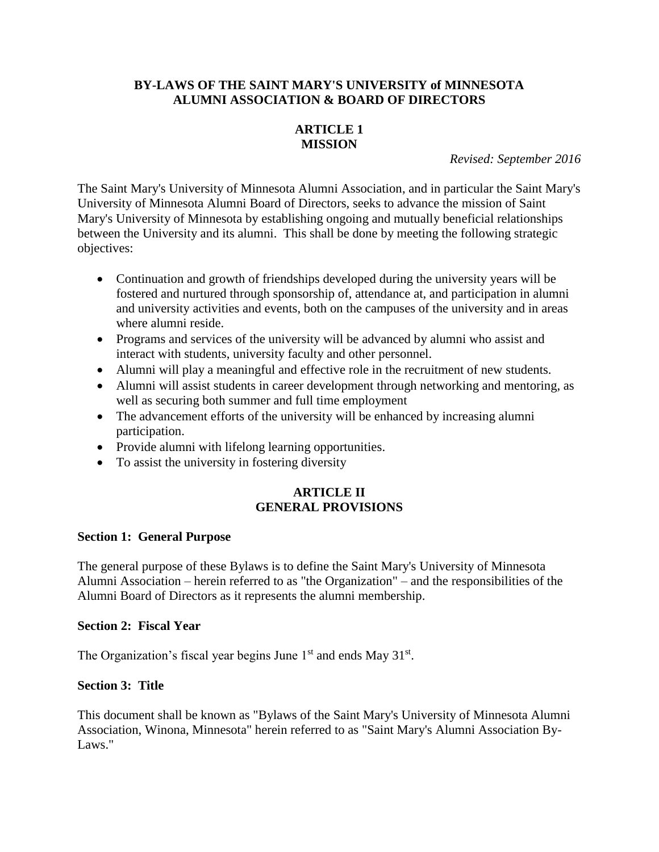## **BY-LAWS OF THE SAINT MARY'S UNIVERSITY of MINNESOTA ALUMNI ASSOCIATION & BOARD OF DIRECTORS**

# **ARTICLE 1 MISSION**

*Revised: September 2016*

The Saint Mary's University of Minnesota Alumni Association, and in particular the Saint Mary's University of Minnesota Alumni Board of Directors, seeks to advance the mission of Saint Mary's University of Minnesota by establishing ongoing and mutually beneficial relationships between the University and its alumni. This shall be done by meeting the following strategic objectives:

- Continuation and growth of friendships developed during the university years will be fostered and nurtured through sponsorship of, attendance at, and participation in alumni and university activities and events, both on the campuses of the university and in areas where alumni reside.
- Programs and services of the university will be advanced by alumni who assist and interact with students, university faculty and other personnel.
- Alumni will play a meaningful and effective role in the recruitment of new students.
- Alumni will assist students in career development through networking and mentoring, as well as securing both summer and full time employment
- The advancement efforts of the university will be enhanced by increasing alumni participation.
- Provide alumni with lifelong learning opportunities.
- To assist the university in fostering diversity

## **ARTICLE II GENERAL PROVISIONS**

### **Section 1: General Purpose**

The general purpose of these Bylaws is to define the Saint Mary's University of Minnesota Alumni Association – herein referred to as "the Organization" – and the responsibilities of the Alumni Board of Directors as it represents the alumni membership.

#### **Section 2: Fiscal Year**

The Organization's fiscal year begins June  $1<sup>st</sup>$  and ends May  $31<sup>st</sup>$ .

### **Section 3: Title**

This document shall be known as "Bylaws of the Saint Mary's University of Minnesota Alumni Association, Winona, Minnesota" herein referred to as "Saint Mary's Alumni Association By-Laws."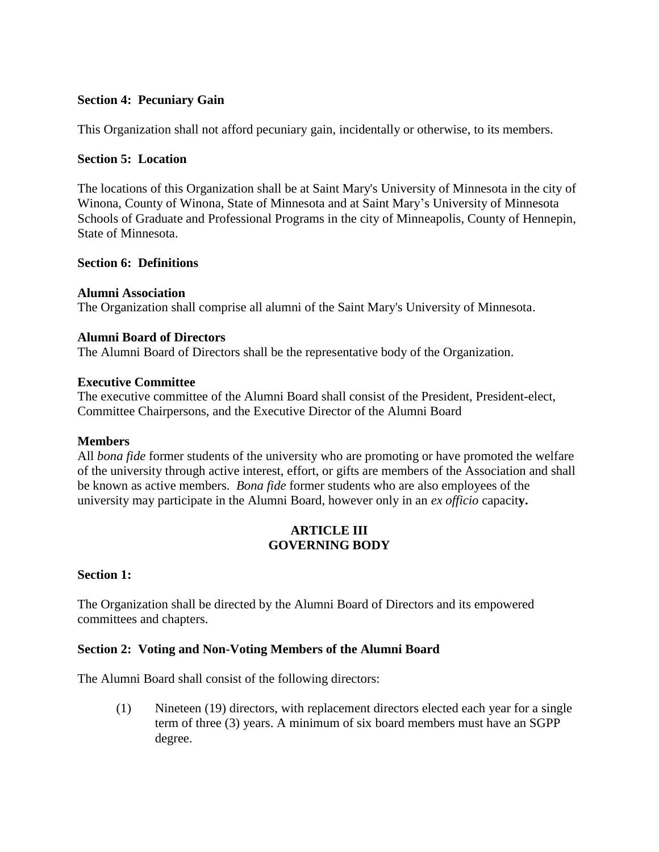## **Section 4: Pecuniary Gain**

This Organization shall not afford pecuniary gain, incidentally or otherwise, to its members.

### **Section 5: Location**

The locations of this Organization shall be at Saint Mary's University of Minnesota in the city of Winona, County of Winona, State of Minnesota and at Saint Mary's University of Minnesota Schools of Graduate and Professional Programs in the city of Minneapolis, County of Hennepin, State of Minnesota.

## **Section 6: Definitions**

### **Alumni Association**

The Organization shall comprise all alumni of the Saint Mary's University of Minnesota.

### **Alumni Board of Directors**

The Alumni Board of Directors shall be the representative body of the Organization.

### **Executive Committee**

The executive committee of the Alumni Board shall consist of the President, President-elect, Committee Chairpersons, and the Executive Director of the Alumni Board

### **Members**

All *bona fide* former students of the university who are promoting or have promoted the welfare of the university through active interest, effort, or gifts are members of the Association and shall be known as active members. *Bona fide* former students who are also employees of the university may participate in the Alumni Board, however only in an *ex officio* capacit**y.**

## **ARTICLE III GOVERNING BODY**

## **Section 1:**

The Organization shall be directed by the Alumni Board of Directors and its empowered committees and chapters.

## **Section 2: Voting and Non-Voting Members of the Alumni Board**

The Alumni Board shall consist of the following directors:

(1) Nineteen (19) directors, with replacement directors elected each year for a single term of three (3) years. A minimum of six board members must have an SGPP degree.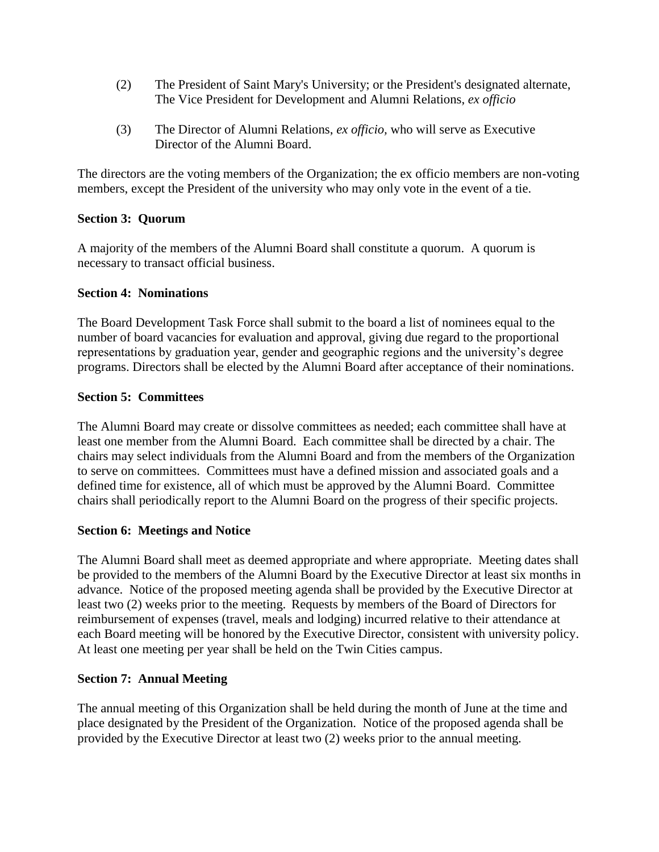- (2) The President of Saint Mary's University; or the President's designated alternate, The Vice President for Development and Alumni Relations, *ex officio*
- (3) The Director of Alumni Relations, *ex officio,* who will serve as Executive Director of the Alumni Board.

The directors are the voting members of the Organization; the ex officio members are non-voting members, except the President of the university who may only vote in the event of a tie.

## **Section 3: Quorum**

A majority of the members of the Alumni Board shall constitute a quorum. A quorum is necessary to transact official business.

## **Section 4: Nominations**

The Board Development Task Force shall submit to the board a list of nominees equal to the number of board vacancies for evaluation and approval, giving due regard to the proportional representations by graduation year, gender and geographic regions and the university's degree programs. Directors shall be elected by the Alumni Board after acceptance of their nominations.

## **Section 5: Committees**

The Alumni Board may create or dissolve committees as needed; each committee shall have at least one member from the Alumni Board. Each committee shall be directed by a chair. The chairs may select individuals from the Alumni Board and from the members of the Organization to serve on committees. Committees must have a defined mission and associated goals and a defined time for existence, all of which must be approved by the Alumni Board. Committee chairs shall periodically report to the Alumni Board on the progress of their specific projects.

## **Section 6: Meetings and Notice**

The Alumni Board shall meet as deemed appropriate and where appropriate. Meeting dates shall be provided to the members of the Alumni Board by the Executive Director at least six months in advance. Notice of the proposed meeting agenda shall be provided by the Executive Director at least two (2) weeks prior to the meeting.Requests by members of the Board of Directors for reimbursement of expenses (travel, meals and lodging) incurred relative to their attendance at each Board meeting will be honored by the Executive Director, consistent with university policy. At least one meeting per year shall be held on the Twin Cities campus.

### **Section 7: Annual Meeting**

The annual meeting of this Organization shall be held during the month of June at the time and place designated by the President of the Organization. Notice of the proposed agenda shall be provided by the Executive Director at least two (2) weeks prior to the annual meeting.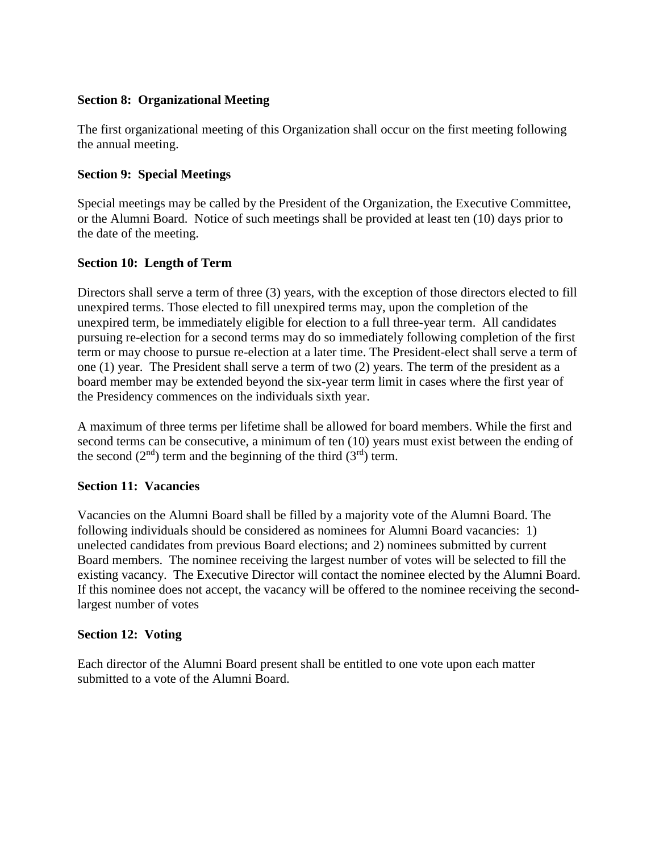## **Section 8: Organizational Meeting**

The first organizational meeting of this Organization shall occur on the first meeting following the annual meeting.

## **Section 9: Special Meetings**

Special meetings may be called by the President of the Organization, the Executive Committee, or the Alumni Board. Notice of such meetings shall be provided at least ten (10) days prior to the date of the meeting.

## **Section 10: Length of Term**

Directors shall serve a term of three (3) years, with the exception of those directors elected to fill unexpired terms. Those elected to fill unexpired terms may, upon the completion of the unexpired term, be immediately eligible for election to a full three-year term. All candidates pursuing re-election for a second terms may do so immediately following completion of the first term or may choose to pursue re-election at a later time. The President-elect shall serve a term of one (1) year. The President shall serve a term of two (2) years. The term of the president as a board member may be extended beyond the six-year term limit in cases where the first year of the Presidency commences on the individuals sixth year.

A maximum of three terms per lifetime shall be allowed for board members. While the first and second terms can be consecutive, a minimum of ten (10) years must exist between the ending of the second  $(2<sup>nd</sup>)$  term and the beginning of the third  $(3<sup>rd</sup>)$  term.

### **Section 11: Vacancies**

Vacancies on the Alumni Board shall be filled by a majority vote of the Alumni Board. The following individuals should be considered as nominees for Alumni Board vacancies: 1) unelected candidates from previous Board elections; and 2) nominees submitted by current Board members. The nominee receiving the largest number of votes will be selected to fill the existing vacancy. The Executive Director will contact the nominee elected by the Alumni Board. If this nominee does not accept, the vacancy will be offered to the nominee receiving the secondlargest number of votes

### **Section 12: Voting**

Each director of the Alumni Board present shall be entitled to one vote upon each matter submitted to a vote of the Alumni Board.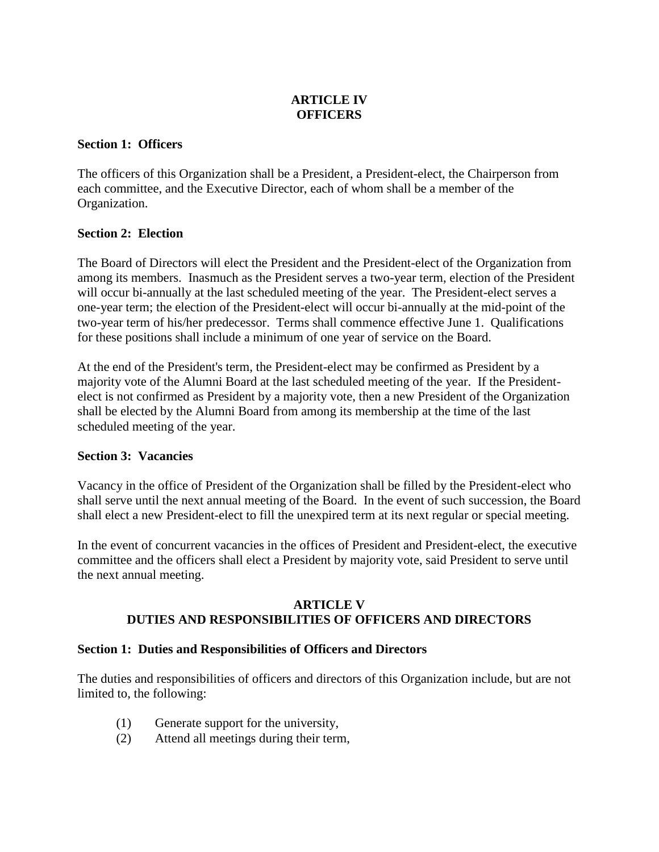# **ARTICLE IV OFFICERS**

## **Section 1: Officers**

The officers of this Organization shall be a President, a President-elect, the Chairperson from each committee, and the Executive Director, each of whom shall be a member of the Organization.

## **Section 2: Election**

The Board of Directors will elect the President and the President-elect of the Organization from among its members. Inasmuch as the President serves a two-year term, election of the President will occur bi-annually at the last scheduled meeting of the year. The President-elect serves a one-year term; the election of the President-elect will occur bi-annually at the mid-point of the two-year term of his/her predecessor. Terms shall commence effective June 1. Qualifications for these positions shall include a minimum of one year of service on the Board.

At the end of the President's term, the President-elect may be confirmed as President by a majority vote of the Alumni Board at the last scheduled meeting of the year. If the Presidentelect is not confirmed as President by a majority vote, then a new President of the Organization shall be elected by the Alumni Board from among its membership at the time of the last scheduled meeting of the year.

### **Section 3: Vacancies**

Vacancy in the office of President of the Organization shall be filled by the President-elect who shall serve until the next annual meeting of the Board. In the event of such succession, the Board shall elect a new President-elect to fill the unexpired term at its next regular or special meeting.

In the event of concurrent vacancies in the offices of President and President-elect, the executive committee and the officers shall elect a President by majority vote, said President to serve until the next annual meeting.

## **ARTICLE V DUTIES AND RESPONSIBILITIES OF OFFICERS AND DIRECTORS**

### **Section 1: Duties and Responsibilities of Officers and Directors**

The duties and responsibilities of officers and directors of this Organization include, but are not limited to, the following:

- (1) Generate support for the university,
- (2) Attend all meetings during their term,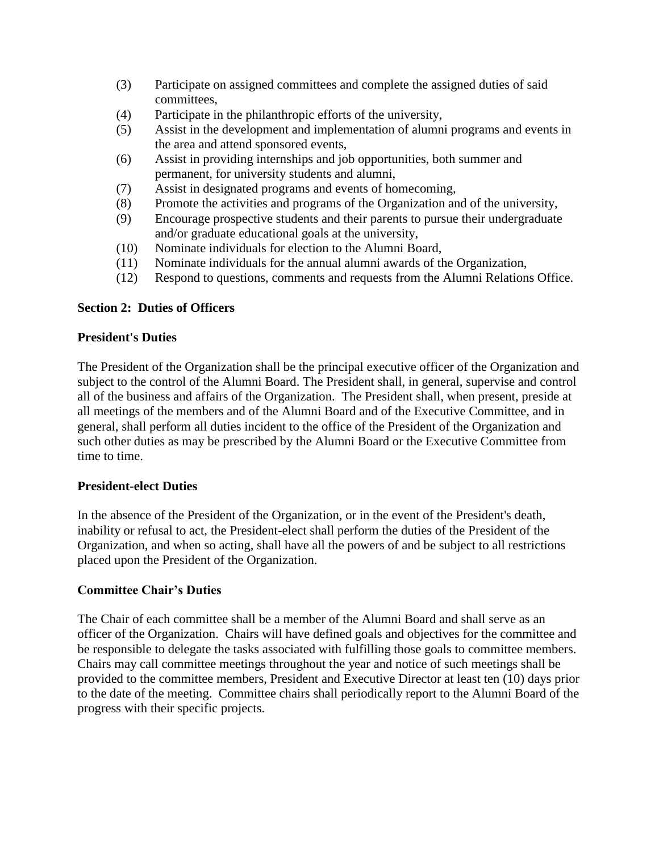- (3) Participate on assigned committees and complete the assigned duties of said committees,
- (4) Participate in the philanthropic efforts of the university,
- (5) Assist in the development and implementation of alumni programs and events in the area and attend sponsored events,
- (6) Assist in providing internships and job opportunities, both summer and permanent, for university students and alumni,
- (7) Assist in designated programs and events of homecoming*,*
- (8) Promote the activities and programs of the Organization and of the university,
- (9) Encourage prospective students and their parents to pursue their undergraduate and/or graduate educational goals at the university,
- (10) Nominate individuals for election to the Alumni Board,
- (11) Nominate individuals for the annual alumni awards of the Organization,
- (12) Respond to questions, comments and requests from the Alumni Relations Office.

## **Section 2: Duties of Officers**

### **President's Duties**

The President of the Organization shall be the principal executive officer of the Organization and subject to the control of the Alumni Board. The President shall, in general, supervise and control all of the business and affairs of the Organization. The President shall, when present, preside at all meetings of the members and of the Alumni Board and of the Executive Committee, and in general, shall perform all duties incident to the office of the President of the Organization and such other duties as may be prescribed by the Alumni Board or the Executive Committee from time to time.

### **President-elect Duties**

In the absence of the President of the Organization, or in the event of the President's death, inability or refusal to act, the President-elect shall perform the duties of the President of the Organization, and when so acting, shall have all the powers of and be subject to all restrictions placed upon the President of the Organization.

### **Committee Chair's Duties**

The Chair of each committee shall be a member of the Alumni Board and shall serve as an officer of the Organization. Chairs will have defined goals and objectives for the committee and be responsible to delegate the tasks associated with fulfilling those goals to committee members. Chairs may call committee meetings throughout the year and notice of such meetings shall be provided to the committee members, President and Executive Director at least ten (10) days prior to the date of the meeting. Committee chairs shall periodically report to the Alumni Board of the progress with their specific projects.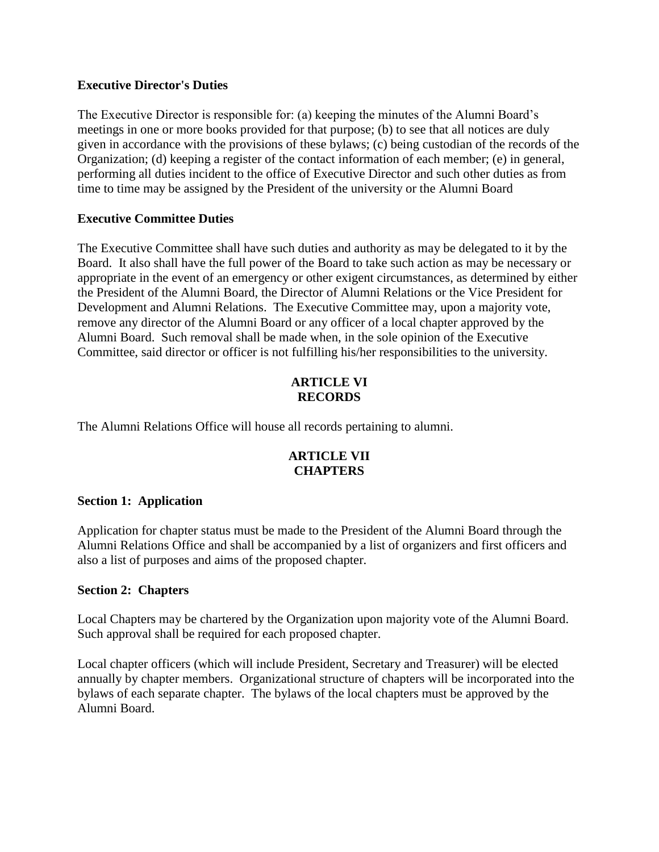### **Executive Director's Duties**

The Executive Director is responsible for: (a) keeping the minutes of the Alumni Board's meetings in one or more books provided for that purpose; (b) to see that all notices are duly given in accordance with the provisions of these bylaws; (c) being custodian of the records of the Organization; (d) keeping a register of the contact information of each member; (e) in general, performing all duties incident to the office of Executive Director and such other duties as from time to time may be assigned by the President of the university or the Alumni Board

## **Executive Committee Duties**

The Executive Committee shall have such duties and authority as may be delegated to it by the Board. It also shall have the full power of the Board to take such action as may be necessary or appropriate in the event of an emergency or other exigent circumstances, as determined by either the President of the Alumni Board, the Director of Alumni Relations or the Vice President for Development and Alumni Relations. The Executive Committee may, upon a majority vote, remove any director of the Alumni Board or any officer of a local chapter approved by the Alumni Board. Such removal shall be made when, in the sole opinion of the Executive Committee, said director or officer is not fulfilling his/her responsibilities to the university.

## **ARTICLE VI RECORDS**

The Alumni Relations Office will house all records pertaining to alumni.

## **ARTICLE VII CHAPTERS**

### **Section 1: Application**

Application for chapter status must be made to the President of the Alumni Board through the Alumni Relations Office and shall be accompanied by a list of organizers and first officers and also a list of purposes and aims of the proposed chapter.

## **Section 2: Chapters**

Local Chapters may be chartered by the Organization upon majority vote of the Alumni Board. Such approval shall be required for each proposed chapter.

Local chapter officers (which will include President, Secretary and Treasurer) will be elected annually by chapter members. Organizational structure of chapters will be incorporated into the bylaws of each separate chapter. The bylaws of the local chapters must be approved by the Alumni Board.